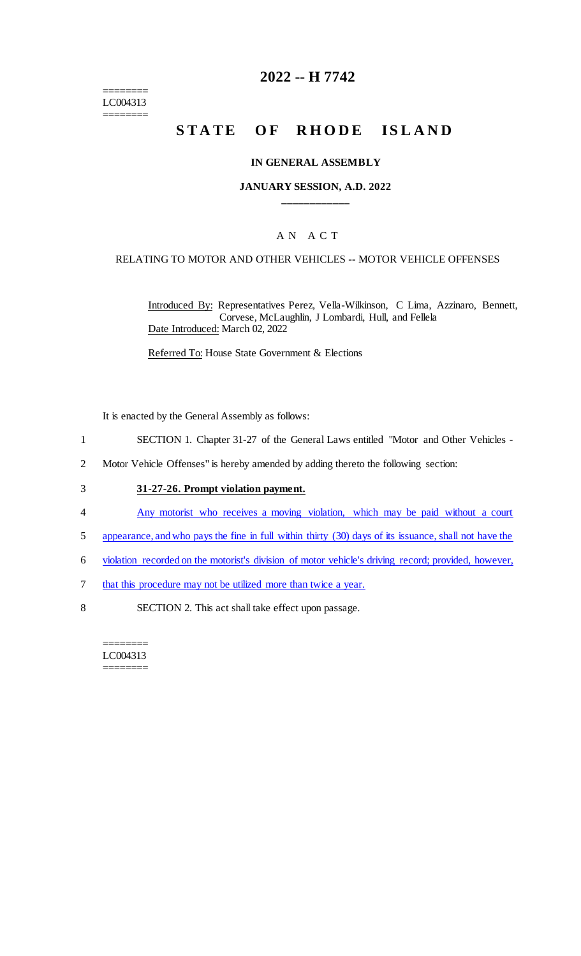======== LC004313 ========

# **2022 -- H 7742**

# **STATE OF RHODE ISLAND**

#### **IN GENERAL ASSEMBLY**

#### **JANUARY SESSION, A.D. 2022 \_\_\_\_\_\_\_\_\_\_\_\_**

## A N A C T

#### RELATING TO MOTOR AND OTHER VEHICLES -- MOTOR VEHICLE OFFENSES

Introduced By: Representatives Perez, Vella-Wilkinson, C Lima, Azzinaro, Bennett, Corvese, McLaughlin, J Lombardi, Hull, and Fellela Date Introduced: March 02, 2022

Referred To: House State Government & Elections

It is enacted by the General Assembly as follows:

- 1 SECTION 1. Chapter 31-27 of the General Laws entitled "Motor and Other Vehicles -
- 2 Motor Vehicle Offenses" is hereby amended by adding thereto the following section:

## 3 **31-27-26. Prompt violation payment.**

- 4 Any motorist who receives a moving violation, which may be paid without a court
- 5 appearance, and who pays the fine in full within thirty (30) days of its issuance, shall not have the
- 6 violation recorded on the motorist's division of motor vehicle's driving record; provided, however,
- 7 that this procedure may not be utilized more than twice a year.
- 8 SECTION 2. This act shall take effect upon passage.

======== LC004313 ========